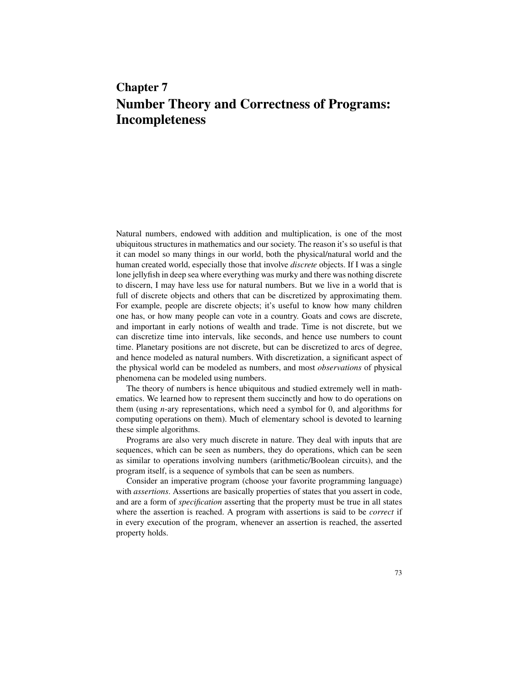# **Chapter 7 Number Theory and Correctness of Programs: Incompleteness**

Natural numbers, endowed with addition and multiplication, is one of the most ubiquitous structures in mathematics and our society. The reason it's so useful is that it can model so many things in our world, both the physical/natural world and the human created world, especially those that involve *discrete* objects. If I was a single lone jellyfish in deep sea where everything was murky and there was nothing discrete to discern, I may have less use for natural numbers. But we live in a world that is full of discrete objects and others that can be discretized by approximating them. For example, people are discrete objects; it's useful to know how many children one has, or how many people can vote in a country. Goats and cows are discrete, and important in early notions of wealth and trade. Time is not discrete, but we can discretize time into intervals, like seconds, and hence use numbers to count time. Planetary positions are not discrete, but can be discretized to arcs of degree, and hence modeled as natural numbers. With discretization, a significant aspect of the physical world can be modeled as numbers, and most *observations* of physical phenomena can be modeled using numbers.

The theory of numbers is hence ubiquitous and studied extremely well in mathematics. We learned how to represent them succinctly and how to do operations on them (using  $n$ -ary representations, which need a symbol for 0, and algorithms for computing operations on them). Much of elementary school is devoted to learning these simple algorithms.

Programs are also very much discrete in nature. They deal with inputs that are sequences, which can be seen as numbers, they do operations, which can be seen as similar to operations involving numbers (arithmetic/Boolean circuits), and the program itself, is a sequence of symbols that can be seen as numbers.

Consider an imperative program (choose your favorite programming language) with *assertions*. Assertions are basically properties of states that you assert in code, and are a form of *specification* asserting that the property must be true in all states where the assertion is reached. A program with assertions is said to be *correct* if in every execution of the program, whenever an assertion is reached, the asserted property holds.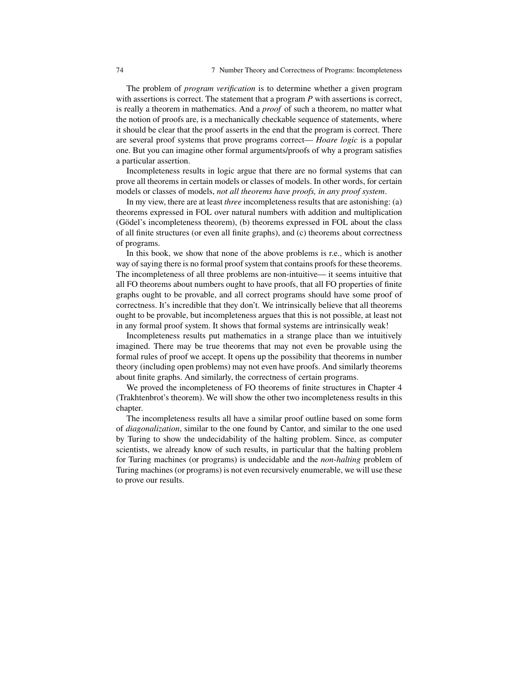The problem of *program verification* is to determine whether a given program with assertions is correct. The statement that a program  $P$  with assertions is correct, is really a theorem in mathematics. And a *proof* of such a theorem, no matter what the notion of proofs are, is a mechanically checkable sequence of statements, where it should be clear that the proof asserts in the end that the program is correct. There are several proof systems that prove programs correct— *Hoare logic* is a popular one. But you can imagine other formal arguments/proofs of why a program satisfies a particular assertion.

Incompleteness results in logic argue that there are no formal systems that can prove all theorems in certain models or classes of models. In other words, for certain models or classes of models, *not all theorems have proofs, in any proof system*.

In my view, there are at least *three* incompleteness results that are astonishing: (a) theorems expressed in FOL over natural numbers with addition and multiplication (Gödel's incompleteness theorem), (b) theorems expressed in FOL about the class of all finite structures (or even all finite graphs), and (c) theorems about correctness of programs.

In this book, we show that none of the above problems is r.e., which is another way of saying there is no formal proof system that contains proofs for these theorems. The incompleteness of all three problems are non-intuitive— it seems intuitive that all FO theorems about numbers ought to have proofs, that all FO properties of finite graphs ought to be provable, and all correct programs should have some proof of correctness. It's incredible that they don't. We intrinsically believe that all theorems ought to be provable, but incompleteness argues that this is not possible, at least not in any formal proof system. It shows that formal systems are intrinsically weak!

Incompleteness results put mathematics in a strange place than we intuitively imagined. There may be true theorems that may not even be provable using the formal rules of proof we accept. It opens up the possibility that theorems in number theory (including open problems) may not even have proofs. And similarly theorems about finite graphs. And similarly, the correctness of certain programs.

We proved the incompleteness of FO theorems of finite structures in Chapter 4 (Trakhtenbrot's theorem). We will show the other two incompleteness results in this chapter.

The incompleteness results all have a similar proof outline based on some form of *diagonalization*, similar to the one found by Cantor, and similar to the one used by Turing to show the undecidability of the halting problem. Since, as computer scientists, we already know of such results, in particular that the halting problem for Turing machines (or programs) is undecidable and the *non-halting* problem of Turing machines (or programs) is not even recursively enumerable, we will use these to prove our results.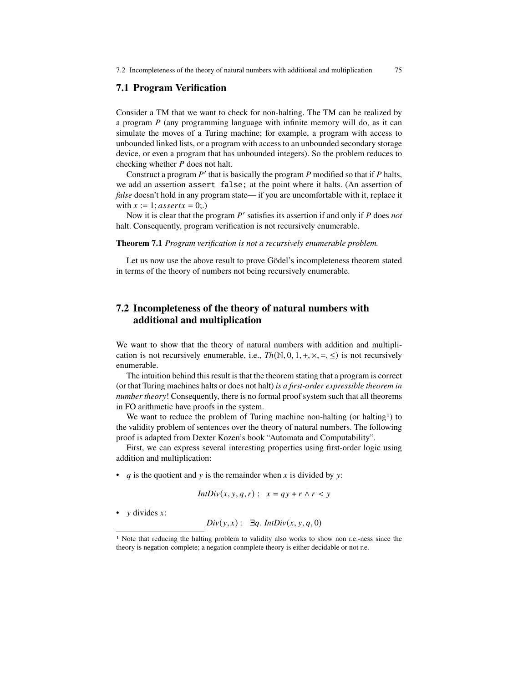7.2 Incompleteness of the theory of natural numbers with additional and multiplication 75

## **7.1 Program Verification**

Consider a TM that we want to check for non-halting. The TM can be realized by a program  $P$  (any programming language with infinite memory will do, as it can simulate the moves of a Turing machine; for example, a program with access to unbounded linked lists, or a program with access to an unbounded secondary storage device, or even a program that has unbounded integers). So the problem reduces to checking whether  $P$  does not halt.

Construct a program  $P'$  that is basically the program  $P$  modified so that if  $P$  halts, we add an assertion assert false; at the point where it halts. (An assertion of *false* doesn't hold in any program state— if you are uncomfortable with it, replace it with  $x := 1$ ; *assertx* = 0;.)

Now it is clear that the program  $P'$  satisfies its assertion if and only if  $P$  does *not* halt. Consequently, program verification is not recursively enumerable.

#### **Theorem 7.1** *Program verification is not a recursively enumerable problem.*

Let us now use the above result to prove Gödel's incompleteness theorem stated in terms of the theory of numbers not being recursively enumerable.

# **7.2 Incompleteness of the theory of natural numbers with additional and multiplication**

We want to show that the theory of natural numbers with addition and multiplication is not recursively enumerable, i.e.,  $Th(\mathbb{N}, 0, 1, +, \times, =, \leq)$  is not recursively enumerable.

The intuition behind this result is that the theorem stating that a program is correct (or that Turing machines halts or does not halt) *is a first-order expressible theorem in number theory*! Consequently, there is no formal proof system such that all theorems in FO arithmetic have proofs in the system.

We want to reduce the problem of Turing machine non-halting (or halting<sup>1</sup>) to the validity problem of sentences over the theory of natural numbers. The following proof is adapted from Dexter Kozen's book "Automata and Computability".

First, we can express several interesting properties using first-order logic using addition and multiplication:

• *q* is the quotient and y is the remainder when x is divided by y:

$$
IntDiv(x, y, q, r): x = qy + r \wedge r < y
$$

• y divides  $x$ :

$$
Div(y, x) : \exists q. \text{IntDiv}(x, y, q, 0)
$$

<sup>1</sup> Note that reducing the halting problem to validity also works to show non r.e.-ness since the theory is negation-complete; a negation conmplete theory is either decidable or not r.e.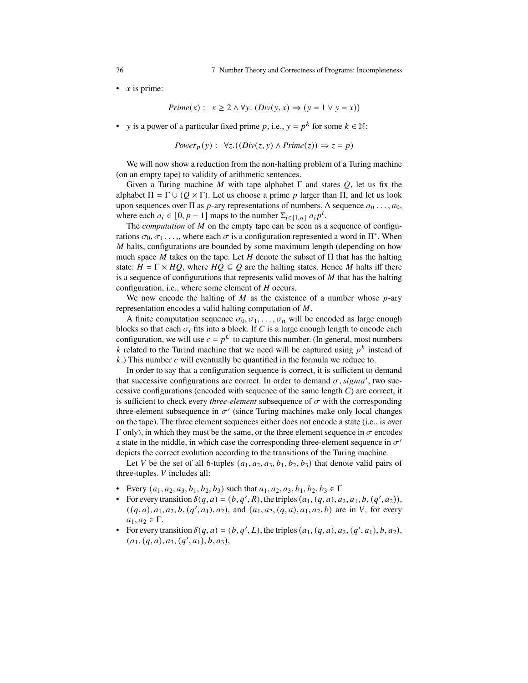•  $x$  is prime:

$$
Prime(x): x \ge 2 \land \forall y. (Div(y, x) \Rightarrow (y = 1 \lor y = x))
$$

• y is a power of a particular fixed prime p, i.e.,  $y = p^k$  for some  $k \in \mathbb{N}$ :

$$
Power_p(y): \ \forall z. ((Div(z, y) \land Prime(z)) \Rightarrow z = p)
$$

We will now show a reduction from the non-halting problem of a Turing machine (on an empty tape) to validity of arithmetic sentences.

Given a Turing machine M with tape alphabet  $\Gamma$  and states Q, let us fix the alphabet  $\Pi = \Gamma \cup (Q \times \Gamma)$ . Let us choose a prime p larger than  $\Pi$ , and let us look upon sequences over  $\Pi$  as *p*-ary representations of numbers. A sequence  $a_n \ldots, a_0$ , where each  $a_i \in [0, p-1]$  maps to the number  $\Sigma_{i \in [1, n]} a_i p^i$ .

The *computation* of  $M$  on the empty tape can be seen as a sequence of configurations  $\sigma_0, \sigma_1, \ldots$ , where each  $\sigma$  is a configuration represented a word in  $\Pi^*$ . When  $M$  halts, configurations are bounded by some maximum length (depending on how much space  $M$  takes on the tape. Let  $H$  denote the subset of  $\Pi$  that has the halting state:  $H = \Gamma \times HQ$ , where  $HQ \subseteq Q$  are the halting states. Hence M halts iff there is a sequence of configurations that represents valid moves of  $M$  that has the halting configuration, i.e., where some element of  $H$  occurs.

We now encode the halting of  $M$  as the existence of a number whose  $p$ -ary representation encodes a valid halting computation of  $M$ .

A finite computation sequence  $\sigma_0, \sigma_1, \ldots, \sigma_n$  will be encoded as large enough blocks so that each  $\sigma_i$  fits into a block. If C is a large enough length to encode each configuration, we will use  $c = p^C$  to capture this number. (In general, most numbers k related to the Turind machine that we need will be captured using  $p<sup>k</sup>$  instead of  $k$ .) This number  $c$  will eventually be quantified in the formula we reduce to.

In order to say that a configuration sequence is correct, it is sufficient to demand that successive configurations are correct. In order to demand  $\sigma$ ,  $sigma'$ , two successive configurations (encoded with sequence of the same length  $C$ ) are correct, it is sufficient to check every *three-element* subsequence of  $\sigma$  with the corresponding three-element subsequence in  $\sigma'$  (since Turing machines make only local changes on the tape). The three element sequences either does not encode a state (i.e., is over  $\Gamma$  only), in which they must be the same, or the three element sequence in  $\sigma$  encodes a state in the middle, in which case the corresponding three-element sequence in  $\sigma'$ depicts the correct evolution according to the transitions of the Turing machine.

Let V be the set of all 6-tuples  $(a_1, a_2, a_3, b_1, b_2, b_3)$  that denote valid pairs of three-tuples.  $V$  includes all:

- Every  $(a_1, a_2, a_3, b_1, b_2, b_3)$  such that  $a_1, a_2, a_3, b_1, b_2, b_3 \in \Gamma$
- For every transition  $\delta(q, a) = (b, q', R)$ , the triples  $(a_1, (q, a), a_2, a_1, b, (q', a_2))$ ,  $((q, a), a_1, a_2, b, (q', a_1), a_2)$ , and  $(a_1, a_2, (q, a), a_1, a_2, b)$  are in V, for every  $a_1, a_2 \in \Gamma$ .
- For every transition  $\delta(q, a) = (b, q', L)$ , the triples  $(a_1, (q, a), a_2, (q', a_1), b, a_2)$ ,  $(a_1, (q, a), a_3, (q', a_1), b, a_3),$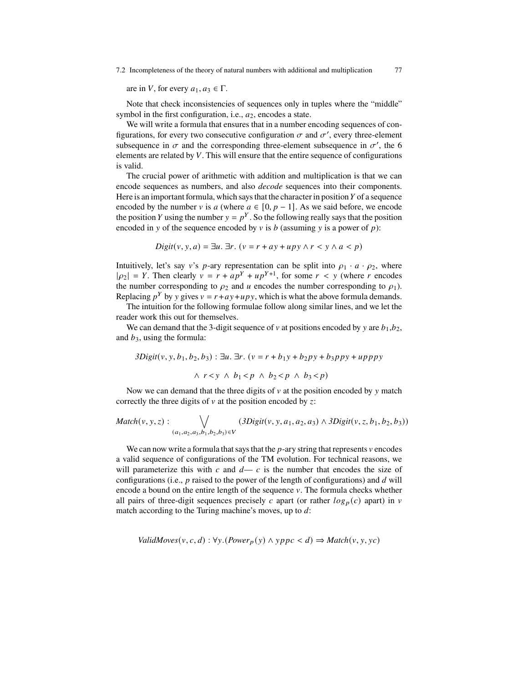7.2 Incompleteness of the theory of natural numbers with additional and multiplication 77

are in V, for every  $a_1, a_3 \in \Gamma$ .

Note that check inconsistencies of sequences only in tuples where the "middle" symbol in the first configuration, i.e.,  $a_2$ , encodes a state.

We will write a formula that ensures that in a number encoding sequences of configurations, for every two consecutive configuration  $\sigma$  and  $\sigma'$ , every three-element subsequence in  $\sigma$  and the corresponding three-element subsequence in  $\sigma'$ , the 6 elements are related by  $V$ . This will ensure that the entire sequence of configurations is valid.

The crucial power of arithmetic with addition and multiplication is that we can encode sequences as numbers, and also *decode* sequences into their components. Here is an important formula, which says that the character in position  $Y$  of a sequence encoded by the number v is a (where  $a \in [0, p - 1]$ . As we said before, we encode the position Y using the number  $y = p<sup>Y</sup>$ . So the following really says that the position encoded in y of the sequence encoded by v is b (assuming y is a power of  $p$ ):

$$
Digit(v, y, a) = \exists u. \ \exists r. \ (v = r + ay + upy \land r < y \land a < p)
$$

Intuitively, let's say v's p-ary representation can be split into  $\rho_1 \cdot a \cdot \rho_2$ , where  $|\rho_2| = Y$ . Then clearly  $v = r + ap^Y + up^{Y+1}$ , for some  $r \le y$  (where r encodes the number corresponding to  $\rho_2$  and u encodes the number corresponding to  $\rho_1$ ). Replacing  $p^Y$  by y gives  $v = r + ay + upy$ , which is what the above formula demands.

The intuition for the following formulae follow along similar lines, and we let the reader work this out for themselves.

We can demand that the 3-digit sequence of v at positions encoded by y are  $b_1,b_2$ , and  $b_3$ , using the formula:

$$
3Digit(v, y, b_1, b_2, b_3) : \exists u. \exists r. (v = r + b_1y + b_2py + b_3ppy + upppy
$$
  

$$
\land r < y \land b_1 < p \land b_2 < p \land b_3 < p)
$$

Now we can demand that the three digits of  $\nu$  at the position encoded by  $\nu$  match correctly the three digits of  $\nu$  at the position encoded by  $\zeta$ :

$$
Match(v, y, z): \bigvee_{(a_1, a_2, a_3, b_1, b_2, b_3) \in V} (3Digit(v, y, a_1, a_2, a_3) \land 3Digit(v, z, b_1, b_2, b_3))
$$

We can now write a formula that says that the  $p$ -ary string that represents  $\nu$  encodes a valid sequence of configurations of the TM evolution. For technical reasons, we will parameterize this with  $c$  and  $d - c$  is the number that encodes the size of configurations (i.e.,  $p$  raised to the power of the length of configurations) and  $d$  will encode a bound on the entire length of the sequence  $\nu$ . The formula checks whether all pairs of three-digit sequences precisely c apart (or rather  $log_p(c)$  apart) in v match according to the Turing machine's moves, up to  $d$ :

$$
ValidMoves(v, c, d) : \forall y. (Power_p(y) \land yppc < d) \Rightarrow Match(v, y, yc)
$$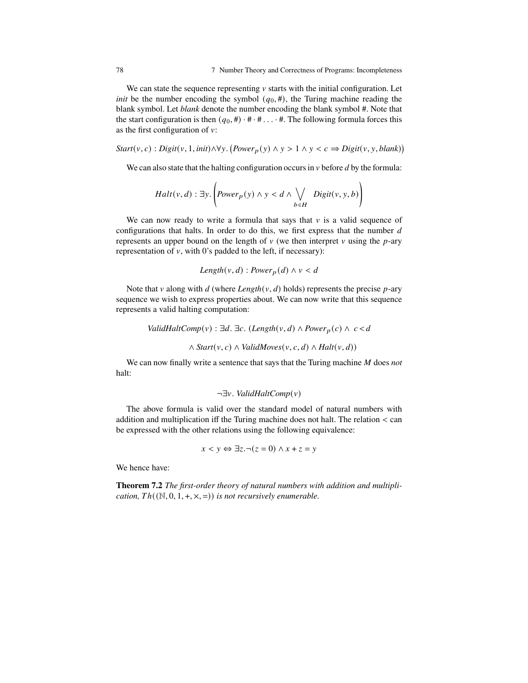We can state the sequence representing  $\nu$  starts with the initial configuration. Let *init* be the number encoding the symbol  $(q_0, \#)$ , the Turing machine reading the blank symbol. Let *blank* denote the number encoding the blank symbol #. Note that the start configuration is then  $(q_0, \#) \cdot \# \cdot \# \dots \cdot \#$ . The following formula forces this as the first configuration of  $v$ :

 $Start(v, c) : Digit(v, 1, init) \land \forall y. (Power_p(y) \land y > 1 \land y < c \Rightarrow Digit(v, y, blank))$ 

We can also state that the halting configuration occurs in  $\nu$  before  $d$  by the formula:

$$
Halt(v, d) : \exists y. \left( Power_p(y) \land y < d \land \bigvee_{b \in H} \quad Digit(v, y, b) \right)
$$

We can now ready to write a formula that says that  $\nu$  is a valid sequence of configurations that halts. In order to do this, we first express that the number  $d$ represents an upper bound on the length of  $\nu$  (we then interpret  $\nu$  using the  $p$ -ary representation of  $v$ , with 0's padded to the left, if necessary):

*Length*( $v, d$ ) : *Power*<sub> $p$ </sub>( $d$ )  $\wedge v < d$ 

Note that v along with  $d$  (where *Length*( $v$ ,  $d$ ) holds) represents the precise  $p$ -ary sequence we wish to express properties about. We can now write that this sequence represents a valid halting computation:

*ValidHaltComp*( $v$ ) :  $\exists d$ .  $\exists c$ . (*Length*( $v$ ,  $d$ )  $\land$  *Power*<sub>p</sub>( $c$ )  $\land$   $c$  <  $d$ 

$$
\land \text{Start}(v, c) \land \text{ValidMoves}(v, c, d) \land \text{Half}(v, d))
$$

We can now finally write a sentence that says that the Turing machine M does not halt:

 $\neg \exists v$ . *ValidHaltComp*(v)

The above formula is valid over the standard model of natural numbers with addition and multiplication iff the Turing machine does not halt. The relation  $\lt$  can be expressed with the other relations using the following equivalence:

$$
x < y \Leftrightarrow \exists z. \neg (z = 0) \land x + z = y
$$

We hence have:

**Theorem 7.2** *The first-order theory of natural numbers with addition and multiplication,*  $Th((\mathbb{N}, 0, 1, +, \times, =))$  *is not recursively enumerable.*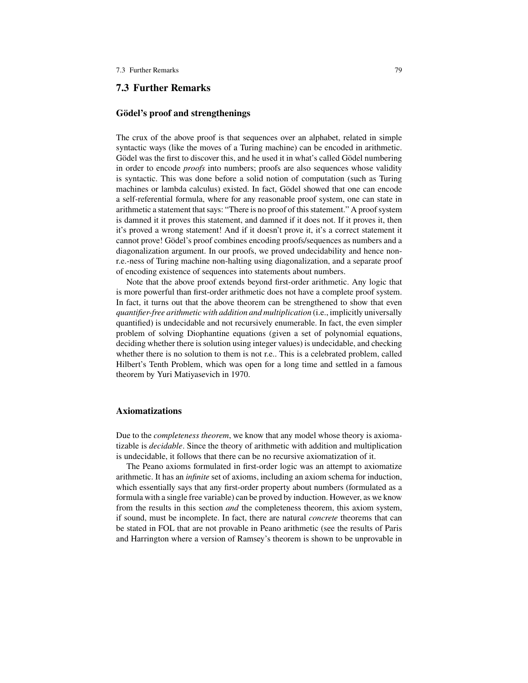# **7.3 Further Remarks**

## **Gödel's proof and strengthenings**

The crux of the above proof is that sequences over an alphabet, related in simple syntactic ways (like the moves of a Turing machine) can be encoded in arithmetic. Gödel was the first to discover this, and he used it in what's called Gödel numbering in order to encode *proofs* into numbers; proofs are also sequences whose validity is syntactic. This was done before a solid notion of computation (such as Turing machines or lambda calculus) existed. In fact, Gödel showed that one can encode a self-referential formula, where for any reasonable proof system, one can state in arithmetic a statement that says: "There is no proof of this statement." A proof system is damned it it proves this statement, and damned if it does not. If it proves it, then it's proved a wrong statement! And if it doesn't prove it, it's a correct statement it cannot prove! Gödel's proof combines encoding proofs/sequences as numbers and a diagonalization argument. In our proofs, we proved undecidability and hence nonr.e.-ness of Turing machine non-halting using diagonalization, and a separate proof of encoding existence of sequences into statements about numbers.

Note that the above proof extends beyond first-order arithmetic. Any logic that is more powerful than first-order arithmetic does not have a complete proof system. In fact, it turns out that the above theorem can be strengthened to show that even *quantifier-free arithmetic with addition and multiplication* (i.e., implicitly universally quantified) is undecidable and not recursively enumerable. In fact, the even simpler problem of solving Diophantine equations (given a set of polynomial equations, deciding whether there is solution using integer values) is undecidable, and checking whether there is no solution to them is not r.e.. This is a celebrated problem, called Hilbert's Tenth Problem, which was open for a long time and settled in a famous theorem by Yuri Matiyasevich in 1970.

### **Axiomatizations**

Due to the *completeness theorem*, we know that any model whose theory is axiomatizable is *decidable*. Since the theory of arithmetic with addition and multiplication is undecidable, it follows that there can be no recursive axiomatization of it.

The Peano axioms formulated in first-order logic was an attempt to axiomatize arithmetic. It has an *infinite* set of axioms, including an axiom schema for induction, which essentially says that any first-order property about numbers (formulated as a formula with a single free variable) can be proved by induction. However, as we know from the results in this section *and* the completeness theorem, this axiom system, if sound, must be incomplete. In fact, there are natural *concrete* theorems that can be stated in FOL that are not provable in Peano arithmetic (see the results of Paris and Harrington where a version of Ramsey's theorem is shown to be unprovable in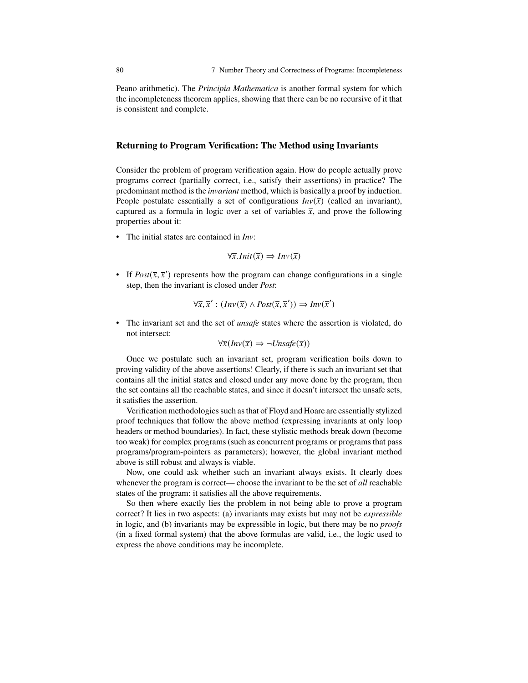Peano arithmetic). The *Principia Mathematica* is another formal system for which the incompleteness theorem applies, showing that there can be no recursive of it that is consistent and complete.

#### **Returning to Program Verification: The Method using Invariants**

Consider the problem of program verification again. How do people actually prove programs correct (partially correct, i.e., satisfy their assertions) in practice? The predominant method is the *invariant* method, which is basically a proof by induction. People postulate essentially a set of configurations  $Inv(\bar{x})$  (called an invariant), captured as a formula in logic over a set of variables  $\bar{x}$ , and prove the following properties about it:

• The initial states are contained in *Inv*:

$$
\forall \overline{x}.Init(\overline{x}) \Rightarrow Inv(\overline{x})
$$

• If  $Post(\overline{x}, \overline{x}')$  represents how the program can change configurations in a single step, then the invariant is closed under *Post*:

$$
\forall \overline{x}, \overline{x}' : (Inv(\overline{x}) \land Post(\overline{x}, \overline{x}')) \Rightarrow Inv(\overline{x}')
$$

• The invariant set and the set of *unsafe* states where the assertion is violated, do not intersect:

$$
\forall \overline{x}(Inv(\overline{x}) \Rightarrow \neg \text{Unsafe}(\overline{x}))
$$

Once we postulate such an invariant set, program verification boils down to proving validity of the above assertions! Clearly, if there is such an invariant set that contains all the initial states and closed under any move done by the program, then the set contains all the reachable states, and since it doesn't intersect the unsafe sets, it satisfies the assertion.

Verification methodologies such as that of Floyd and Hoare are essentially stylized proof techniques that follow the above method (expressing invariants at only loop headers or method boundaries). In fact, these stylistic methods break down (become too weak) for complex programs (such as concurrent programs or programs that pass programs/program-pointers as parameters); however, the global invariant method above is still robust and always is viable.

Now, one could ask whether such an invariant always exists. It clearly does whenever the program is correct— choose the invariant to be the set of *all* reachable states of the program: it satisfies all the above requirements.

So then where exactly lies the problem in not being able to prove a program correct? It lies in two aspects: (a) invariants may exists but may not be *expressible* in logic, and (b) invariants may be expressible in logic, but there may be no *proofs* (in a fixed formal system) that the above formulas are valid, i.e., the logic used to express the above conditions may be incomplete.